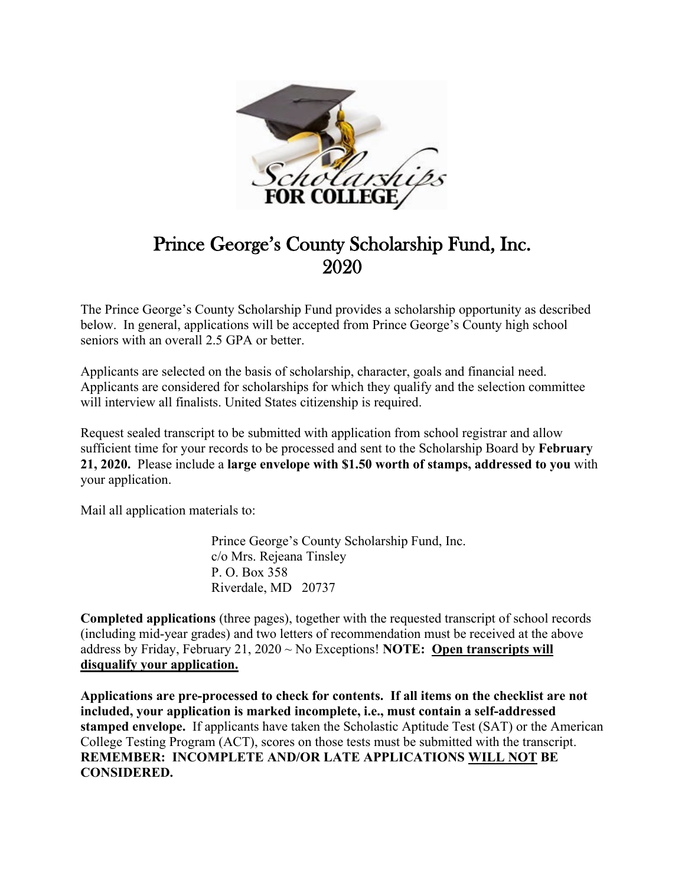

# Prince George's County Scholarship Fund, Inc. 2020

The Prince George's County Scholarship Fund provides a scholarship opportunity as described below. In general, applications will be accepted from Prince George's County high school seniors with an overall 2.5 GPA or better.

Applicants are selected on the basis of scholarship, character, goals and financial need. Applicants are considered for scholarships for which they qualify and the selection committee will interview all finalists. United States citizenship is required.

Request sealed transcript to be submitted with application from school registrar and allow sufficient time for your records to be processed and sent to the Scholarship Board by **February 21, 2020.** Please include a **large envelope with \$1.50 worth of stamps, addressed to you** with your application.

Mail all application materials to:

 Prince George's County Scholarship Fund, Inc. c/o Mrs. Rejeana Tinsley P. O. Box 358 Riverdale, MD 20737

**Completed applications** (three pages), together with the requested transcript of school records (including mid-year grades) and two letters of recommendation must be received at the above address by Friday, February 21, 2020 ~ No Exceptions! **NOTE: Open transcripts will disqualify your application.**

**Applications are pre-processed to check for contents. If all items on the checklist are not included, your application is marked incomplete, i.e., must contain a self-addressed stamped envelope.** If applicants have taken the Scholastic Aptitude Test (SAT) or the American College Testing Program (ACT), scores on those tests must be submitted with the transcript. **REMEMBER: INCOMPLETE AND/OR LATE APPLICATIONS WILL NOT BE CONSIDERED.**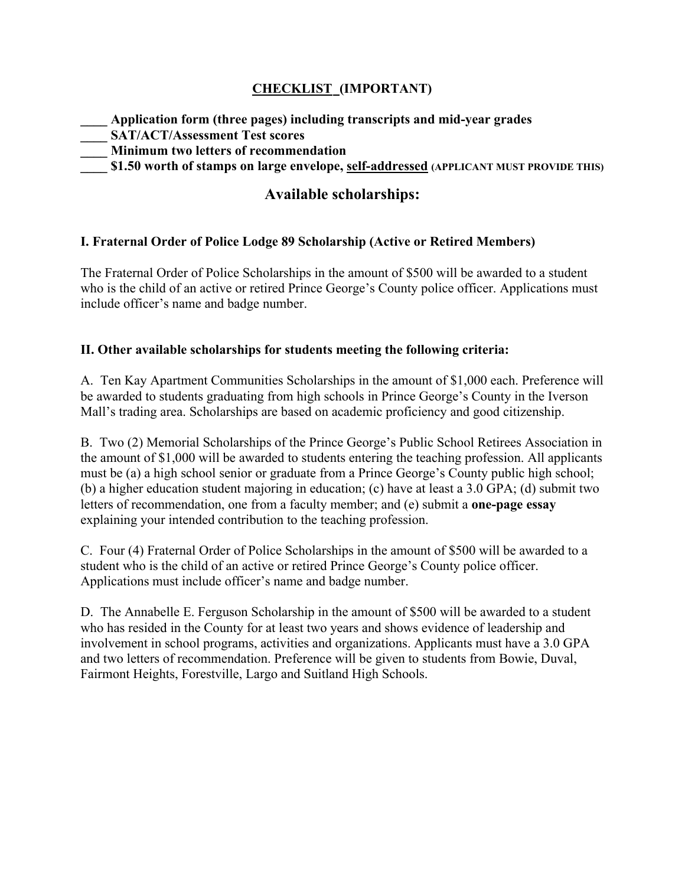## **CHECKLIST (IMPORTANT)**

**\_\_\_\_ Application form (three pages) including transcripts and mid-year grades \_\_\_\_ SAT/ACT/Assessment Test scores \_\_\_\_ Minimum two letters of recommendation \_\_\_\_ \$1.50 worth of stamps on large envelope, self-addressed (APPLICANT MUST PROVIDE THIS)**

# **Available scholarships:**

### **I. Fraternal Order of Police Lodge 89 Scholarship (Active or Retired Members)**

The Fraternal Order of Police Scholarships in the amount of \$500 will be awarded to a student who is the child of an active or retired Prince George's County police officer. Applications must include officer's name and badge number.

#### **II. Other available scholarships for students meeting the following criteria:**

A. Ten Kay Apartment Communities Scholarships in the amount of \$1,000 each. Preference will be awarded to students graduating from high schools in Prince George's County in the Iverson Mall's trading area. Scholarships are based on academic proficiency and good citizenship.

B. Two (2) Memorial Scholarships of the Prince George's Public School Retirees Association in the amount of \$1,000 will be awarded to students entering the teaching profession. All applicants must be (a) a high school senior or graduate from a Prince George's County public high school; (b) a higher education student majoring in education; (c) have at least a 3.0 GPA; (d) submit two letters of recommendation, one from a faculty member; and (e) submit a **one-page essay** explaining your intended contribution to the teaching profession.

C. Four (4) Fraternal Order of Police Scholarships in the amount of \$500 will be awarded to a student who is the child of an active or retired Prince George's County police officer. Applications must include officer's name and badge number.

D. The Annabelle E. Ferguson Scholarship in the amount of \$500 will be awarded to a student who has resided in the County for at least two years and shows evidence of leadership and involvement in school programs, activities and organizations. Applicants must have a 3.0 GPA and two letters of recommendation. Preference will be given to students from Bowie, Duval, Fairmont Heights, Forestville, Largo and Suitland High Schools.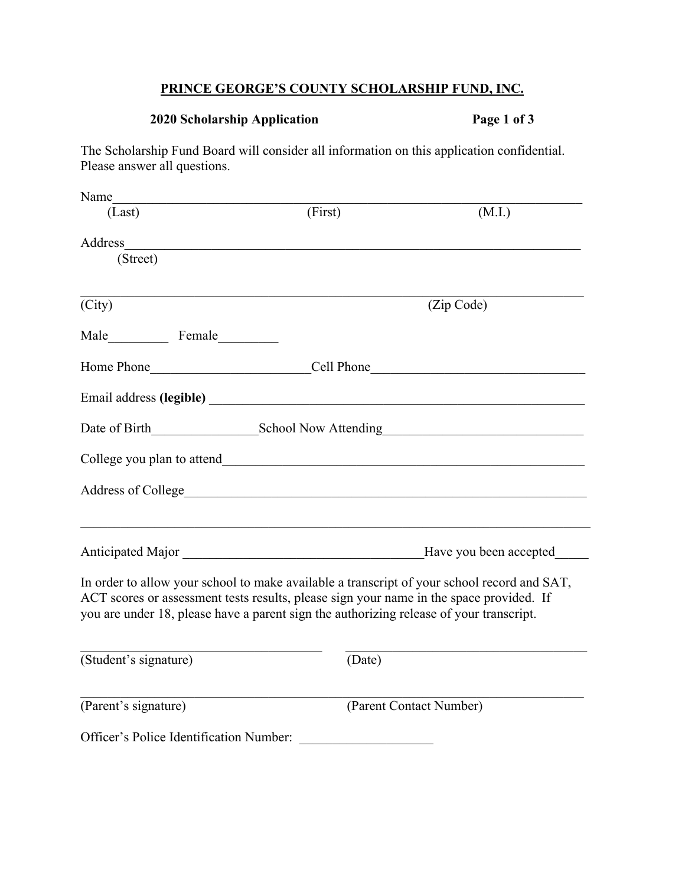## **PRINCE GEORGE'S COUNTY SCHOLARSHIP FUND, INC.**

# **2020 Scholarship Application Page 1 of 3**

The Scholarship Fund Board will consider all information on this application confidential. Please answer all questions.

| Name                                                    |                                                                                                                                                                                                                                                                                   |                         |  |
|---------------------------------------------------------|-----------------------------------------------------------------------------------------------------------------------------------------------------------------------------------------------------------------------------------------------------------------------------------|-------------------------|--|
| (Last)                                                  | (First)                                                                                                                                                                                                                                                                           | (M.I.)                  |  |
| Address<br>(Street)                                     |                                                                                                                                                                                                                                                                                   |                         |  |
| (City)                                                  |                                                                                                                                                                                                                                                                                   | (Zip Code)              |  |
|                                                         |                                                                                                                                                                                                                                                                                   |                         |  |
|                                                         |                                                                                                                                                                                                                                                                                   |                         |  |
|                                                         |                                                                                                                                                                                                                                                                                   |                         |  |
| Date of Birth School Now Attending School Now Attending |                                                                                                                                                                                                                                                                                   |                         |  |
|                                                         |                                                                                                                                                                                                                                                                                   |                         |  |
|                                                         |                                                                                                                                                                                                                                                                                   |                         |  |
|                                                         |                                                                                                                                                                                                                                                                                   | Have you been accepted  |  |
|                                                         | In order to allow your school to make available a transcript of your school record and SAT,<br>ACT scores or assessment tests results, please sign your name in the space provided. If<br>you are under 18, please have a parent sign the authorizing release of your transcript. |                         |  |
| (Student's signature)                                   | (Date)                                                                                                                                                                                                                                                                            |                         |  |
| (Parent's signature)                                    |                                                                                                                                                                                                                                                                                   | (Parent Contact Number) |  |
| Officer's Police Identification Number:                 |                                                                                                                                                                                                                                                                                   |                         |  |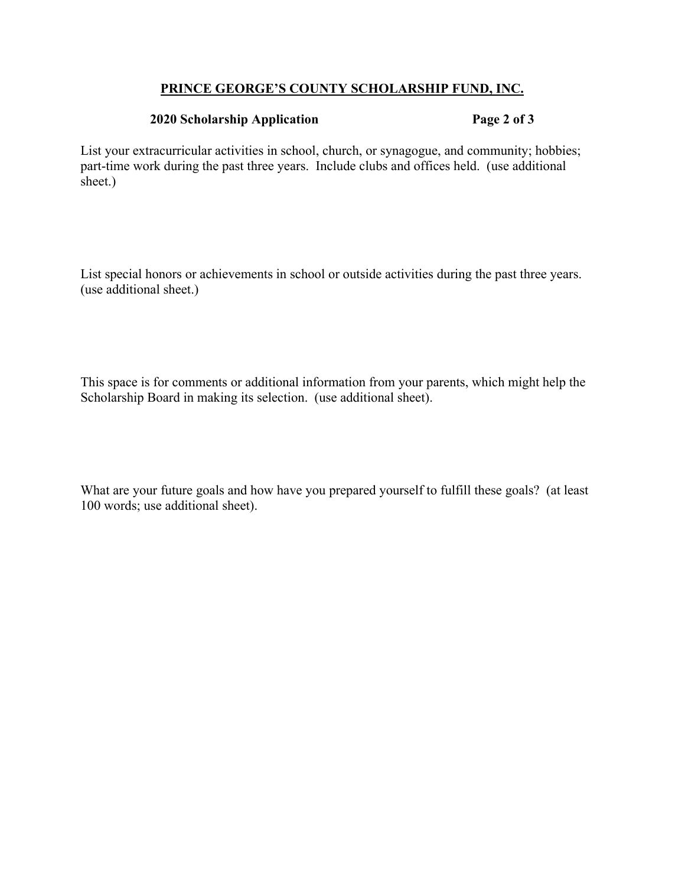#### **PRINCE GEORGE'S COUNTY SCHOLARSHIP FUND, INC.**

#### **2020 Scholarship Application Page 2 of 3**

List your extracurricular activities in school, church, or synagogue, and community; hobbies; part-time work during the past three years. Include clubs and offices held. (use additional sheet.)

List special honors or achievements in school or outside activities during the past three years. (use additional sheet.)

This space is for comments or additional information from your parents, which might help the Scholarship Board in making its selection. (use additional sheet).

What are your future goals and how have you prepared yourself to fulfill these goals? (at least 100 words; use additional sheet).